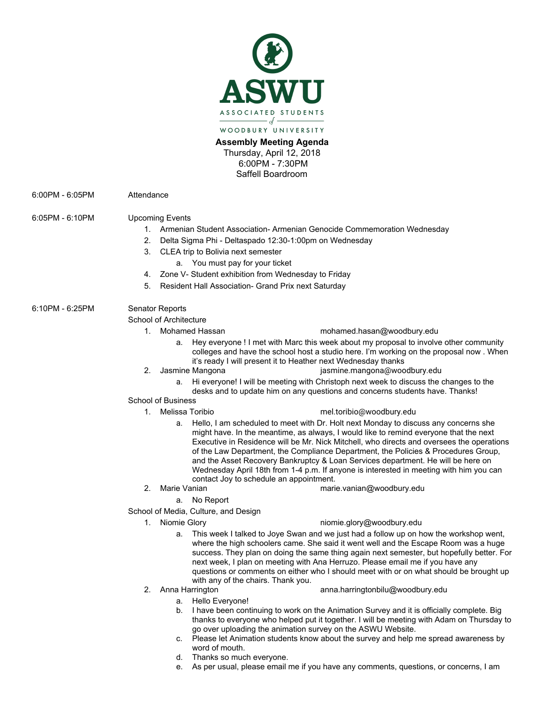

## **Assembly Meeting Agenda** Thursday, April 12, 2018

6:00PM - 7:30PM Saffell Boardroom

6:00PM - 6:05PM Attendance

## 6:05PM - 6:10PM Upcoming Events

| Armenian Student Association- Armenian Genocide Commemoration Wednesday |  |  |  |
|-------------------------------------------------------------------------|--|--|--|
|                                                                         |  |  |  |

- 2. Delta Sigma Phi Deltaspado 12:30-1:00pm on Wednesday
- 3. CLEA trip to Bolivia next semester
	- a. You must pay for your ticket
- 4. Zone V- Student exhibition from Wednesday to Friday
- 5. Resident Hall Association- Grand Prix next Saturday

# 6:10PM - 6:25PM Senator Reports

#### School of Architecture

- 
- 1. Mohamed Hassan [mohamed.hasan@woodbury.edu](mailto:mohamed.hasan@woodbury.edu)
	- Hey everyone ! I met with Marc this week about my proposal to involve other community colleges and have the school host a studio here. I'm working on the proposal now . When it's ready I will present it to Heather next Wednesday thanks
- 
- 2. Jasmine Mangona isang panahang karena [jasmine.mangona@woodbury.edu](mailto:jasmine.mangona@woodbury.edu)
	- a. Hi everyone! I will be meeting with Christoph next week to discuss the changes to the desks and to update him on any questions and concerns students have. Thanks!

#### School of Business

# 1. Melissa Toribio [mel.toribio@woodbury.edu](mailto:mel.toribio@woodbury.edu)

- a. Hello, I am scheduled to meet with Dr. Holt next Monday to discuss any concerns she might have. In the meantime, as always, I would like to remind everyone that the next Executive in Residence will be Mr. Nick Mitchell, who directs and oversees the operations of the Law Department, the Compliance Department, the Policies & Procedures Group, and the Asset Recovery Bankruptcy & Loan Services department. He will be here on Wednesday April 18th from 1-4 p.m. If anyone is interested in meeting with him you can
- contact Joy to schedule an appointment.<br>2. Marie Vanian [marie.vanian@woodbury.edu](mailto:marie.vanian@woodbury.edu)
	- a. No Report
- School of Media, Culture, and Design
	-

# 1. Niomie Glory [niomie.glory@woodbury.edu](mailto:niomie.glory@woodbury.edu)

- a. This week I talked to Joye Swan and we just had a follow up on how the workshop went, where the high schoolers came. She said it went well and the Escape Room was a huge success. They plan on doing the same thing again next semester, but hopefully better. For next week, I plan on meeting with Ana Herruzo. Please email me if you have any questions or comments on either who I should meet with or on what should be brought up with any of the chairs. Thank you.
- 

#### 2. Anna Harrington [anna.harringtonbilu@woodbury.edu](mailto:anna.harringtonBilu@woodbury.edu)

- a. Hello Everyone!
- b. I have been continuing to work on the Animation Survey and it is officially complete. Big thanks to everyone who helped put it together. I will be meeting with Adam on Thursday to go over uploading the animation survey on the ASWU Website.
- c. Please let Animation students know about the survey and help me spread awareness by word of mouth.
- d. Thanks so much everyone.
- e. As per usual, please email me if you have any comments, questions, or concerns, I am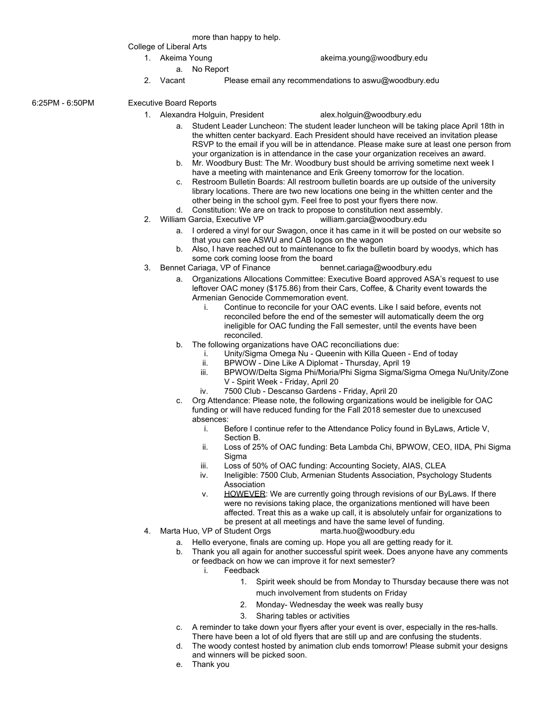more than happy to help.

College of Liberal Arts

- 1. Akeima Young [akeima.young@woodbury.ed](mailto:akeima.young@woodbury.edu)u
	- a. No Report
- 2. Vacant Please email any recommendations to aswu@woodbury.edu

6:25PM - 6:50PM Executive Board Reports

- - 1. Alexandra Holguin, President alex.holguin@woodbury.edu
		- a. Student Leader Luncheon: The student leader luncheon will be taking place April 18th in the whitten center backyard. Each President should have received an invitation please RSVP to the email if you will be in attendance. Please make sure at least one person from your organization is in attendance in the case your organization receives an award.
		- b. Mr. Woodbury Bust: The Mr. Woodbury bust should be arriving sometime next week I have a meeting with maintenance and Erik Greeny tomorrow for the location.
		- c. Restroom Bulletin Boards: All restroom bulletin boards are up outside of the university library locations. There are two new locations one being in the whitten center and the other being in the school gym. Feel free to post your flyers there now.
		- d. Constitution: We are on track to propose to constitution next assembly.<br>am Garcia, Executive VP william.garcia@woodbury.edu
	- 2. William Garcia, Executive VP
		- a. I ordered a vinyl for our Swagon, once it has came in it will be posted on our website so that you can see ASWU and CAB logos on the wagon
		- b. Also, I have reached out to maintenance to fix the bulletin board by woodys, which has some cork coming loose from the board
	- 3. Bennet Cariaga, VP of Finance bennet.cariaga@woodbury.edu
		- a. Organizations Allocations Committee: Executive Board approved ASA's request to use leftover OAC money (\$175.86) from their Cars, Coffee, & Charity event towards the Armenian Genocide Commemoration event.
			- i. Continue to reconcile for your OAC events. Like I said before, events not reconciled before the end of the semester will automatically deem the org ineligible for OAC funding the Fall semester, until the events have been reconciled.
		- b. The following organizations have OAC reconciliations due:
			- i. Unity/Sigma Omega Nu Queenin with Killa Queen End of today
			- ii. BPWOW Dine Like A Diplomat Thursday, April 19
			- iii. BPWOW/Delta Sigma Phi/Moria/Phi Sigma Sigma/Sigma Omega Nu/Unity/Zone V - Spirit Week - Friday, April 20
			- iv. 7500 Club Descanso Gardens Friday, April 20
		- c. Org Attendance: Please note, the following organizations would be ineligible for OAC funding or will have reduced funding for the Fall 2018 semester due to unexcused absences:
			- i. Before I continue refer to the Attendance Policy found in ByLaws, Article V, Section B.
			- ii. Loss of 25% of OAC funding: Beta Lambda Chi, BPWOW, CEO, IIDA, Phi Sigma **Sigma**
			- iii. Loss of 50% of OAC funding: Accounting Society, AIAS, CLEA
			- iv. Ineligible: 7500 Club, Armenian Students Association, Psychology Students Association
			- v. HOWEVER: We are currently going through revisions of our ByLaws. If there were no revisions taking place, the organizations mentioned will have been affected. Treat this as a wake up call, it is absolutely unfair for organizations to be present at all meetings and have the same level of funding.
	- 4. Marta Huo, VP of Student Orgs [marta.huo@woodbury.edu](mailto:marta.huo@woodbury.edu)
		- a. Hello everyone, finals are coming up. Hope you all are getting ready for it.
		- b. Thank you all again for another successful spirit week. Does anyone have any comments or feedback on how we can improve it for next semester?
			- i. Feedback
				- 1. Spirit week should be from Monday to Thursday because there was not much involvement from students on Friday
				- 2. Monday- Wednesday the week was really busy
				- 3. Sharing tables or activities
		- c. A reminder to take down your flyers after your event is over, especially in the res-halls. There have been a lot of old flyers that are still up and are confusing the students.
		- d. The woody contest hosted by animation club ends tomorrow! Please submit your designs and winners will be picked soon.
		- e. Thank you